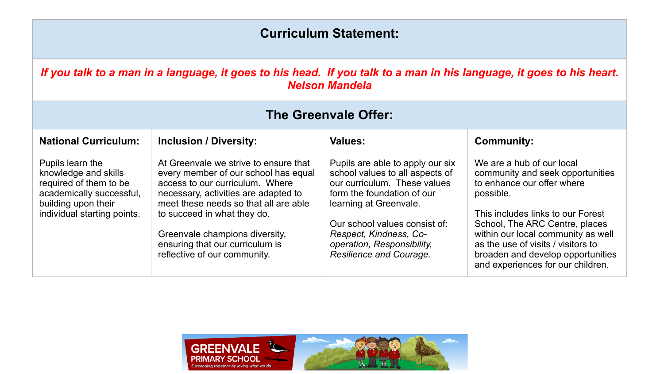## **Curriculum Statement:**

## *If you talk to a man in a language, it goes to his head. If you talk to a man in his language, it goes to his heart. Nelson Mandela*

| <b>The Greenvale Offer:</b>                                                                                                                          |                                                                                                                                                                                                                                                                                                                                       |                                                                                                                                                                                                                                                                                 |                                                                                                                                                                                                                                                                                                                                       |  |
|------------------------------------------------------------------------------------------------------------------------------------------------------|---------------------------------------------------------------------------------------------------------------------------------------------------------------------------------------------------------------------------------------------------------------------------------------------------------------------------------------|---------------------------------------------------------------------------------------------------------------------------------------------------------------------------------------------------------------------------------------------------------------------------------|---------------------------------------------------------------------------------------------------------------------------------------------------------------------------------------------------------------------------------------------------------------------------------------------------------------------------------------|--|
| <b>National Curriculum:</b>                                                                                                                          | <b>Inclusion / Diversity:</b>                                                                                                                                                                                                                                                                                                         | <b>Values:</b>                                                                                                                                                                                                                                                                  | <b>Community:</b>                                                                                                                                                                                                                                                                                                                     |  |
| Pupils learn the<br>knowledge and skills<br>required of them to be<br>academically successful,<br>building upon their<br>individual starting points. | At Greenvale we strive to ensure that<br>every member of our school has equal<br>access to our curriculum. Where<br>necessary, activities are adapted to<br>meet these needs so that all are able<br>to succeed in what they do.<br>Greenvale champions diversity,<br>ensuring that our curriculum is<br>reflective of our community. | Pupils are able to apply our six<br>school values to all aspects of<br>our curriculum. These values<br>form the foundation of our<br>learning at Greenvale.<br>Our school values consist of:<br>Respect, Kindness, Co-<br>operation, Responsibility,<br>Resilience and Courage. | We are a hub of our local<br>community and seek opportunities<br>to enhance our offer where<br>possible.<br>This includes links to our Forest<br>School, The ARC Centre, places<br>within our local community as well<br>as the use of visits / visitors to<br>broaden and develop opportunities<br>and experiences for our children. |  |